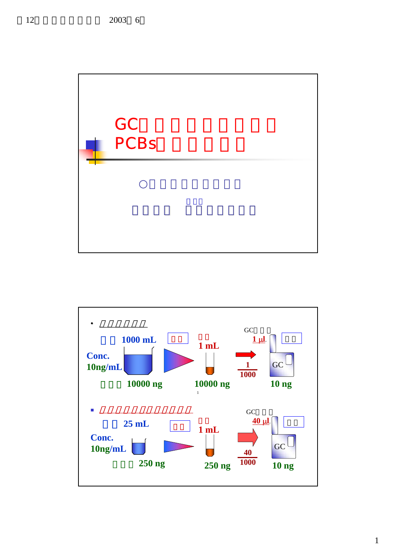

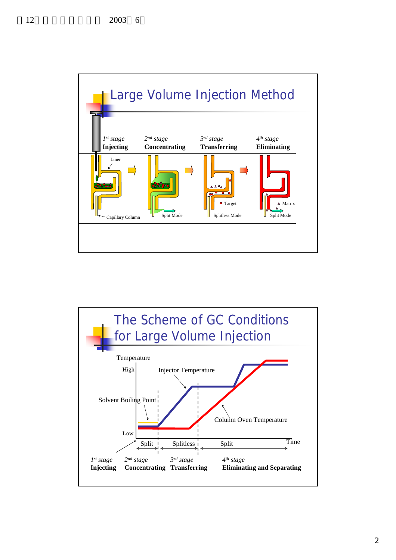

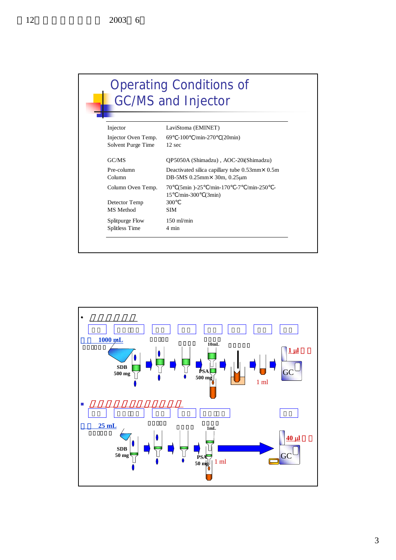## Operating Conditions of GC/MS and Injector

| Injector            | LaviStoma (EMINET)                                                      |
|---------------------|-------------------------------------------------------------------------|
| Injector Oven Temp. | 69 -100 /min-270 (20min)                                                |
| Solvent Purge Time  | $12 \text{ sec}$                                                        |
| GC/MS               | OP5050A (Shimadzu), AOC-20i(Shimadzu)                                   |
| Pre-column          | Deactivated silica capillary tube $0.53$ mm $\times$ 0.5m               |
| Column              | DB-5MS $0.25$ mm $\times$ 30m, $0.25$ µm                                |
| Column Oven Temp.   | $(5min)$ -25 /min-170 -7 /min-250 -<br>70<br>15<br>$/min-300$<br>(3min) |
| Detector Temp       | 300                                                                     |
| MS Method           | SIM                                                                     |
| Splitpurge Flow     | $150$ m $V$ min                                                         |
| Splitless Time      | 4 min                                                                   |

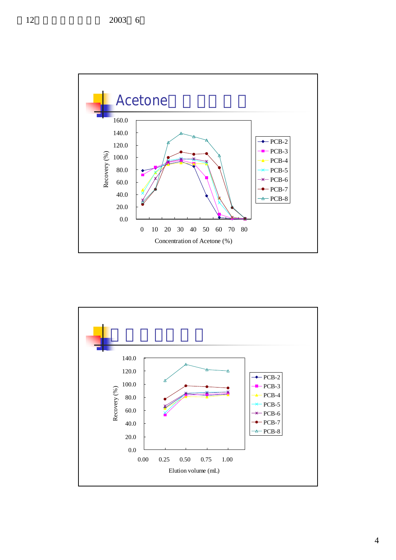

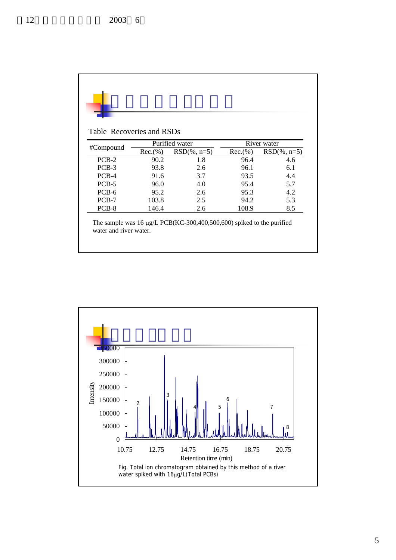読み Rec.(%) RSD(%, n=5) Rec.(%) RSD(%, n= PCB-2 90.2 1.8 96.4 4.6 PCB-3 93.8 2.6 96.1 6.1 PCB-4 91.6 3.7 93.5 4.4 PCB-5 96.0 4.0 95.4 5.7 PCB-6 95.2 2.6 95.3 4.2 PCB-7 103.8 2.5 94.2 5.3 PCB-8 146.4 2.6 108.9 8.5 #Compound Purified water River water Table Recoveries and RSDs The sample was 16 µg/L PCB(KC-300,400,500,600) spiked to the purified water and river water.

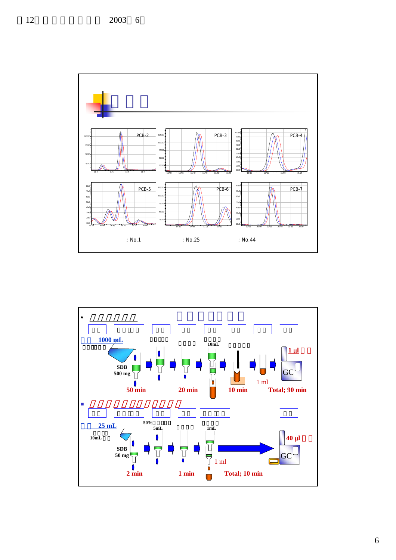![](_page_5_Figure_1.jpeg)

![](_page_5_Figure_2.jpeg)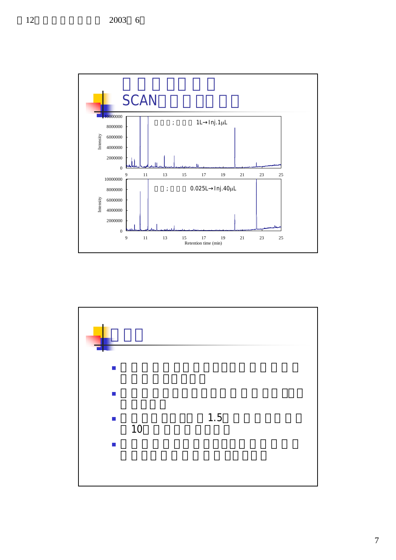![](_page_6_Figure_1.jpeg)

![](_page_6_Figure_2.jpeg)